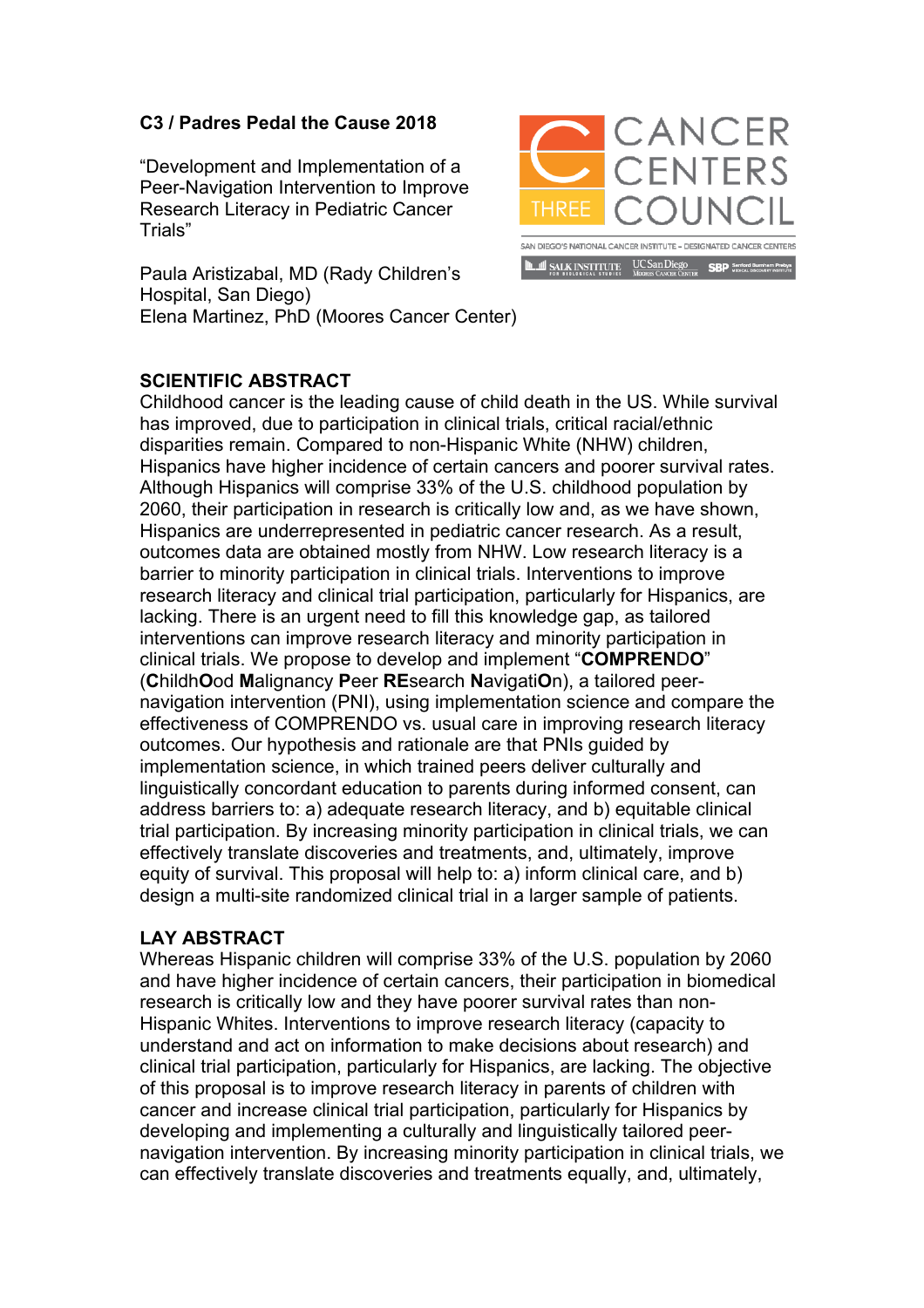## **C3 / Padres Pedal the Cause 2018**

"Development and Implementation of a Peer-Navigation Intervention to Improve Research Literacy in Pediatric Cancer Trials"

Paula Aristizabal, MD (Rady Children's Hospital, San Diego) Elena Martinez, PhD (Moores Cancer Center)



## **SCIENTIFIC ABSTRACT**

Childhood cancer is the leading cause of child death in the US. While survival has improved, due to participation in clinical trials, critical racial/ethnic disparities remain. Compared to non-Hispanic White (NHW) children, Hispanics have higher incidence of certain cancers and poorer survival rates. Although Hispanics will comprise 33% of the U.S. childhood population by 2060, their participation in research is critically low and, as we have shown, Hispanics are underrepresented in pediatric cancer research. As a result, outcomes data are obtained mostly from NHW. Low research literacy is a barrier to minority participation in clinical trials. Interventions to improve research literacy and clinical trial participation, particularly for Hispanics, are lacking. There is an urgent need to fill this knowledge gap, as tailored interventions can improve research literacy and minority participation in clinical trials. We propose to develop and implement "**COMPREN**D**O**" (**C**hildh**O**od **M**alignancy **P**eer **RE**search **N**avigati**O**n), a tailored peernavigation intervention (PNI), using implementation science and compare the effectiveness of COMPRENDO vs. usual care in improving research literacy outcomes. Our hypothesis and rationale are that PNIs guided by implementation science, in which trained peers deliver culturally and linguistically concordant education to parents during informed consent, can address barriers to: a) adequate research literacy, and b) equitable clinical trial participation. By increasing minority participation in clinical trials, we can effectively translate discoveries and treatments, and, ultimately, improve equity of survival. This proposal will help to: a) inform clinical care, and b) design a multi-site randomized clinical trial in a larger sample of patients.

## **LAY ABSTRACT**

Whereas Hispanic children will comprise 33% of the U.S. population by 2060 and have higher incidence of certain cancers, their participation in biomedical research is critically low and they have poorer survival rates than non-Hispanic Whites. Interventions to improve research literacy (capacity to understand and act on information to make decisions about research) and clinical trial participation, particularly for Hispanics, are lacking. The objective of this proposal is to improve research literacy in parents of children with cancer and increase clinical trial participation, particularly for Hispanics by developing and implementing a culturally and linguistically tailored peernavigation intervention. By increasing minority participation in clinical trials, we can effectively translate discoveries and treatments equally, and, ultimately,